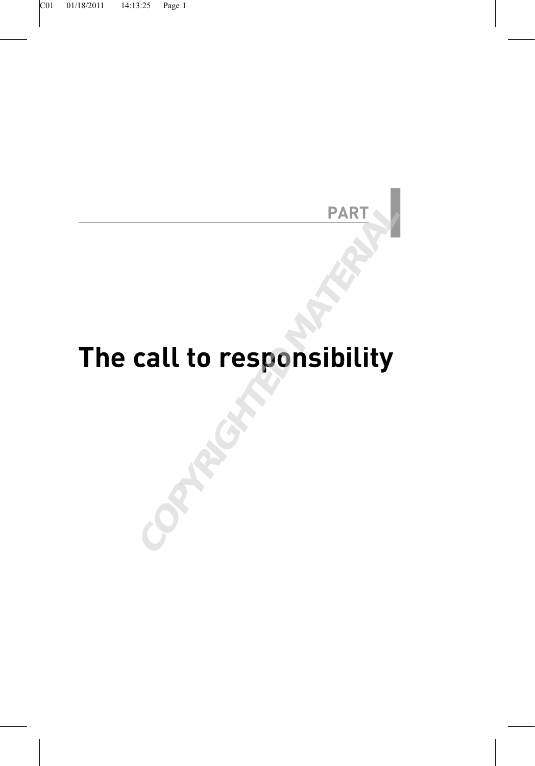# **PART**

# The call to responsibility<br>**COPYRIGHTED MATERIAL**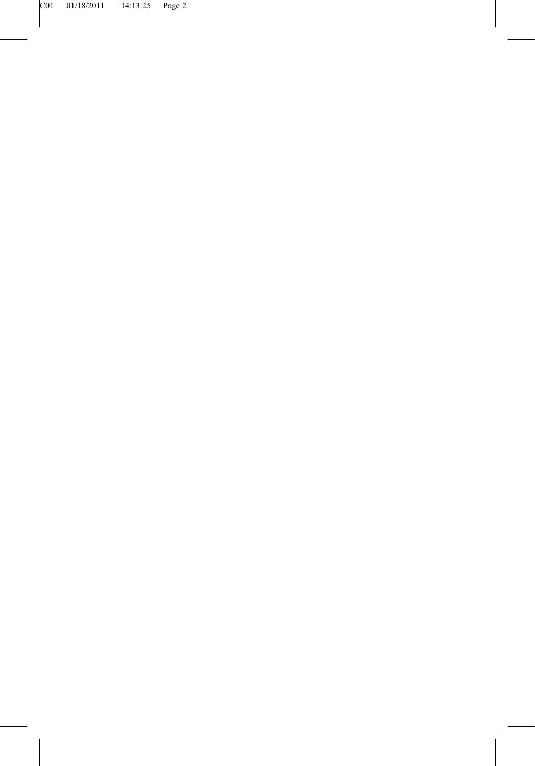C01 01/18/2011 14:13:25 Page 2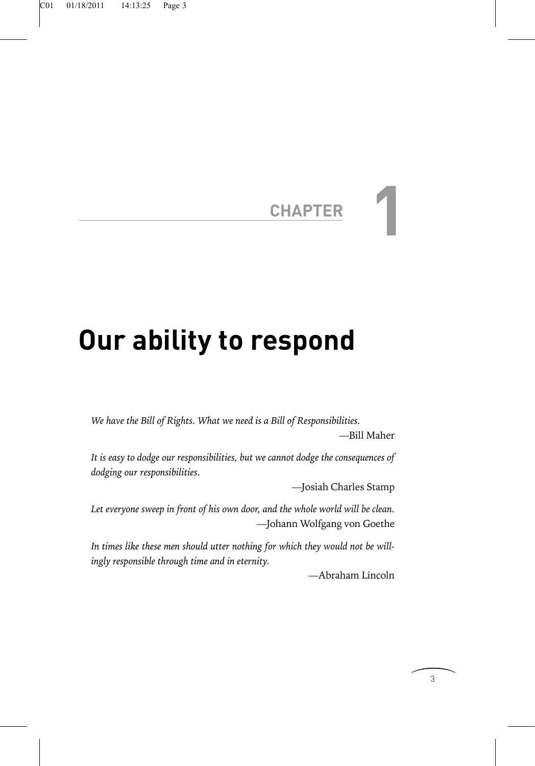# **CHAPTER**

# Our ability to respond

We have the Bill of Rights. What we need is a Bill of Responsibilities.

—Bill Maher

It is easy to dodge our responsibilities, but we cannot dodge the consequences of dodging our responsibilities.

—Josiah Charles Stamp

Let everyone sweep in front of his own door, and the whole world will be clean. —Johann Wolfgang von Goethe

In times like these men should utter nothing for which they would not be willingly responsible through time and in eternity.

—Abraham Lincoln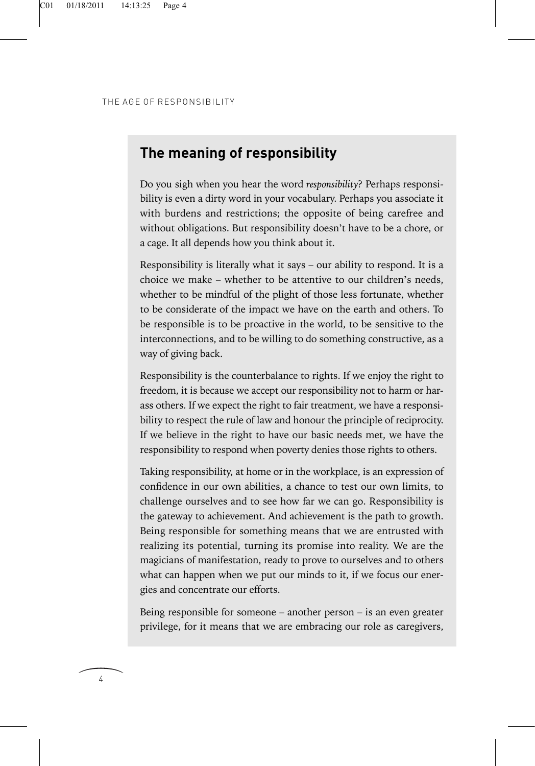# The meaning of responsibility

Do you sigh when you hear the word responsibility? Perhaps responsibility is even a dirty word in your vocabulary. Perhaps you associate it with burdens and restrictions; the opposite of being carefree and without obligations. But responsibility doesn't have to be a chore, or a cage. It all depends how you think about it.

Responsibility is literally what it says – our ability to respond. It is a choice we make – whether to be attentive to our children's needs, whether to be mindful of the plight of those less fortunate, whether to be considerate of the impact we have on the earth and others. To be responsible is to be proactive in the world, to be sensitive to the interconnections, and to be willing to do something constructive, as a way of giving back.

Responsibility is the counterbalance to rights. If we enjoy the right to freedom, it is because we accept our responsibility not to harm or harass others. If we expect the right to fair treatment, we have a responsibility to respect the rule of law and honour the principle of reciprocity. If we believe in the right to have our basic needs met, we have the responsibility to respond when poverty denies those rights to others.

Taking responsibility, at home or in the workplace, is an expression of confidence in our own abilities, a chance to test our own limits, to challenge ourselves and to see how far we can go. Responsibility is the gateway to achievement. And achievement is the path to growth. Being responsible for something means that we are entrusted with realizing its potential, turning its promise into reality. We are the magicians of manifestation, ready to prove to ourselves and to others what can happen when we put our minds to it, if we focus our energies and concentrate our efforts.

Being responsible for someone – another person – is an even greater privilege, for it means that we are embracing our role as caregivers,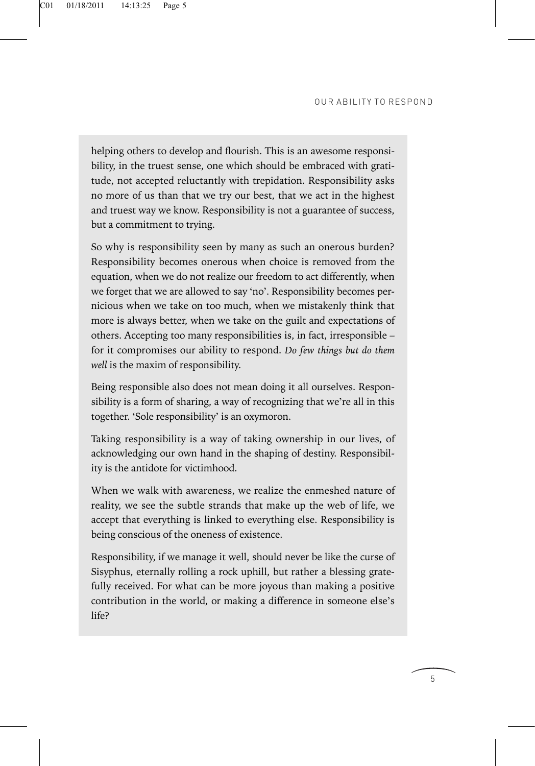helping others to develop and flourish. This is an awesome responsibility, in the truest sense, one which should be embraced with gratitude, not accepted reluctantly with trepidation. Responsibility asks no more of us than that we try our best, that we act in the highest and truest way we know. Responsibility is not a guarantee of success, but a commitment to trying.

So why is responsibility seen by many as such an onerous burden? Responsibility becomes onerous when choice is removed from the equation, when we do not realize our freedom to act differently, when we forget that we are allowed to say 'no'. Responsibility becomes pernicious when we take on too much, when we mistakenly think that more is always better, when we take on the guilt and expectations of others. Accepting too many responsibilities is, in fact, irresponsible – for it compromises our ability to respond. Do few things but do them well is the maxim of responsibility.

Being responsible also does not mean doing it all ourselves. Responsibility is a form of sharing, a way of recognizing that we're all in this together. 'Sole responsibility' is an oxymoron.

Taking responsibility is a way of taking ownership in our lives, of acknowledging our own hand in the shaping of destiny. Responsibility is the antidote for victimhood.

When we walk with awareness, we realize the enmeshed nature of reality, we see the subtle strands that make up the web of life, we accept that everything is linked to everything else. Responsibility is being conscious of the oneness of existence.

Responsibility, if we manage it well, should never be like the curse of Sisyphus, eternally rolling a rock uphill, but rather a blessing gratefully received. For what can be more joyous than making a positive contribution in the world, or making a difference in someone else's life?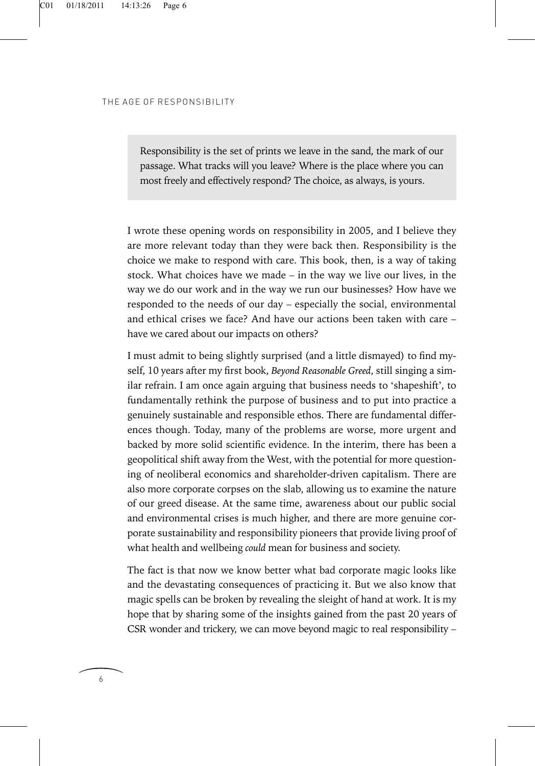Responsibility is the set of prints we leave in the sand, the mark of our passage. What tracks will you leave? Where is the place where you can most freely and effectively respond? The choice, as always, is yours.

I wrote these opening words on responsibility in 2005, and I believe they are more relevant today than they were back then. Responsibility is the choice we make to respond with care. This book, then, is a way of taking stock. What choices have we made – in the way we live our lives, in the way we do our work and in the way we run our businesses? How have we responded to the needs of our day – especially the social, environmental and ethical crises we face? And have our actions been taken with care – have we cared about our impacts on others?

I must admit to being slightly surprised (and a little dismayed) to find myself, 10 years after my first book, Beyond Reasonable Greed, still singing a similar refrain. I am once again arguing that business needs to 'shapeshift', to fundamentally rethink the purpose of business and to put into practice a genuinely sustainable and responsible ethos. There are fundamental differences though. Today, many of the problems are worse, more urgent and backed by more solid scientific evidence. In the interim, there has been a geopolitical shift away from the West, with the potential for more questioning of neoliberal economics and shareholder-driven capitalism. There are also more corporate corpses on the slab, allowing us to examine the nature of our greed disease. At the same time, awareness about our public social and environmental crises is much higher, and there are more genuine corporate sustainability and responsibility pioneers that provide living proof of what health and wellbeing could mean for business and society.

The fact is that now we know better what bad corporate magic looks like and the devastating consequences of practicing it. But we also know that magic spells can be broken by revealing the sleight of hand at work. It is my hope that by sharing some of the insights gained from the past 20 years of CSR wonder and trickery, we can move beyond magic to real responsibility –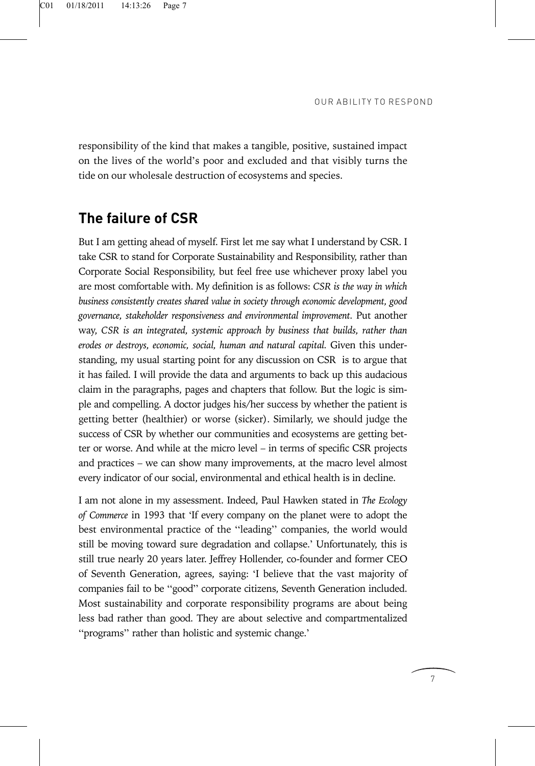7

responsibility of the kind that makes a tangible, positive, sustained impact on the lives of the world's poor and excluded and that visibly turns the tide on our wholesale destruction of ecosystems and species.

# The failure of CSR

But I am getting ahead of myself. First let me say what I understand by CSR. I take CSR to stand for Corporate Sustainability and Responsibility, rather than Corporate Social Responsibility, but feel free use whichever proxy label you are most comfortable with. My definition is as follows: CSR is the way in which business consistently creates shared value in society through economic development, good governance, stakeholder responsiveness and environmental improvement. Put another way, CSR is an integrated, systemic approach by business that builds, rather than erodes or destroys, economic, social, human and natural capital. Given this understanding, my usual starting point for any discussion on CSR is to argue that it has failed. I will provide the data and arguments to back up this audacious claim in the paragraphs, pages and chapters that follow. But the logic is simple and compelling. A doctor judges his/her success by whether the patient is getting better (healthier) or worse (sicker). Similarly, we should judge the success of CSR by whether our communities and ecosystems are getting better or worse. And while at the micro level – in terms of specific CSR projects and practices – we can show many improvements, at the macro level almost every indicator of our social, environmental and ethical health is in decline.

I am not alone in my assessment. Indeed, Paul Hawken stated in The Ecology of Commerce in 1993 that 'If every company on the planet were to adopt the best environmental practice of the ''leading'' companies, the world would still be moving toward sure degradation and collapse.' Unfortunately, this is still true nearly 20 years later. Jeffrey Hollender, co-founder and former CEO of Seventh Generation, agrees, saying: 'I believe that the vast majority of companies fail to be ''good'' corporate citizens, Seventh Generation included. Most sustainability and corporate responsibility programs are about being less bad rather than good. They are about selective and compartmentalized ''programs'' rather than holistic and systemic change.'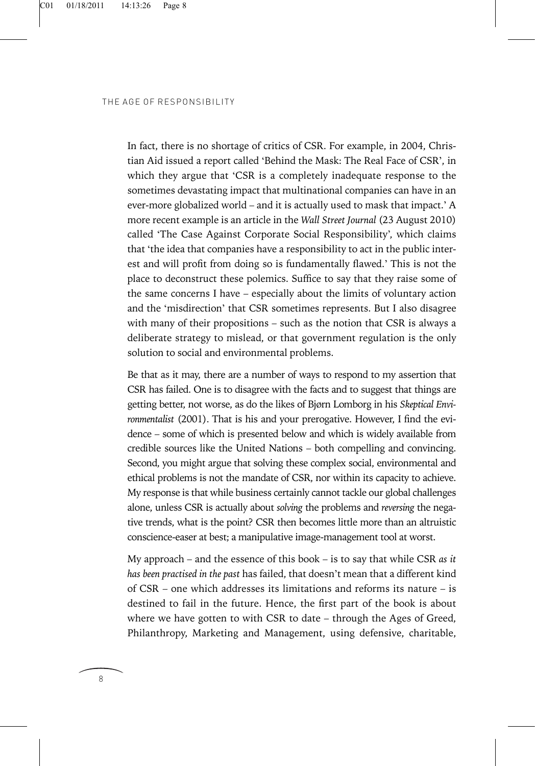In fact, there is no shortage of critics of CSR. For example, in 2004, Christian Aid issued a report called 'Behind the Mask: The Real Face of CSR', in which they argue that 'CSR is a completely inadequate response to the sometimes devastating impact that multinational companies can have in an ever-more globalized world – and it is actually used to mask that impact.' A more recent example is an article in the Wall Street Journal (23 August 2010) called 'The Case Against Corporate Social Responsibility', which claims that 'the idea that companies have a responsibility to act in the public interest and will profit from doing so is fundamentally flawed.' This is not the place to deconstruct these polemics. Suffice to say that they raise some of the same concerns I have – especially about the limits of voluntary action and the 'misdirection' that CSR sometimes represents. But I also disagree with many of their propositions – such as the notion that CSR is always a deliberate strategy to mislead, or that government regulation is the only solution to social and environmental problems.

Be that as it may, there are a number of ways to respond to my assertion that CSR has failed. One is to disagree with the facts and to suggest that things are getting better, not worse, as do the likes of Bjørn Lomborg in his Skeptical Environmentalist (2001). That is his and your prerogative. However, I find the evidence – some of which is presented below and which is widely available from credible sources like the United Nations – both compelling and convincing. Second, you might argue that solving these complex social, environmental and ethical problems is not the mandate of CSR, nor within its capacity to achieve. My response is that while business certainly cannot tackle our global challenges alone, unless CSR is actually about solving the problems and reversing the negative trends, what is the point? CSR then becomes little more than an altruistic conscience-easer at best; a manipulative image-management tool at worst.

My approach – and the essence of this book – is to say that while CSR *as* it has been practised in the past has failed, that doesn't mean that a different kind of CSR – one which addresses its limitations and reforms its nature – is destined to fail in the future. Hence, the first part of the book is about where we have gotten to with CSR to date – through the Ages of Greed, Philanthropy, Marketing and Management, using defensive, charitable,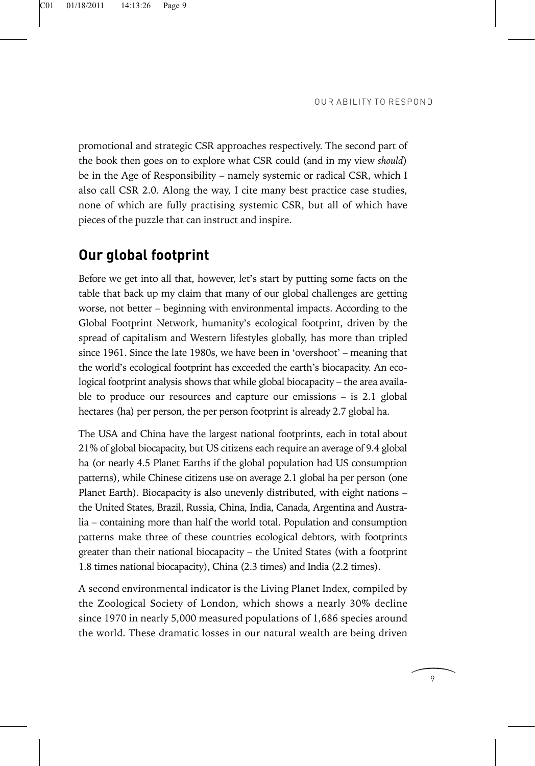9

promotional and strategic CSR approaches respectively. The second part of the book then goes on to explore what CSR could (and in my view should) be in the Age of Responsibility – namely systemic or radical CSR, which I also call CSR 2.0. Along the way, I cite many best practice case studies, none of which are fully practising systemic CSR, but all of which have pieces of the puzzle that can instruct and inspire.

# Our global footprint

Before we get into all that, however, let's start by putting some facts on the table that back up my claim that many of our global challenges are getting worse, not better – beginning with environmental impacts. According to the Global Footprint Network, humanity's ecological footprint, driven by the spread of capitalism and Western lifestyles globally, has more than tripled since 1961. Since the late 1980s, we have been in 'overshoot' – meaning that the world's ecological footprint has exceeded the earth's biocapacity. An ecological footprint analysis shows that while global biocapacity – the area available to produce our resources and capture our emissions – is 2.1 global hectares (ha) per person, the per person footprint is already 2.7 global ha.

The USA and China have the largest national footprints, each in total about 21% of global biocapacity, but US citizens each require an average of 9.4 global ha (or nearly 4.5 Planet Earths if the global population had US consumption patterns), while Chinese citizens use on average 2.1 global ha per person (one Planet Earth). Biocapacity is also unevenly distributed, with eight nations – the United States, Brazil, Russia, China, India, Canada, Argentina and Australia – containing more than half the world total. Population and consumption patterns make three of these countries ecological debtors, with footprints greater than their national biocapacity – the United States (with a footprint 1.8 times national biocapacity), China (2.3 times) and India (2.2 times).

A second environmental indicator is the Living Planet Index, compiled by the Zoological Society of London, which shows a nearly 30% decline since 1970 in nearly 5,000 measured populations of 1,686 species around the world. These dramatic losses in our natural wealth are being driven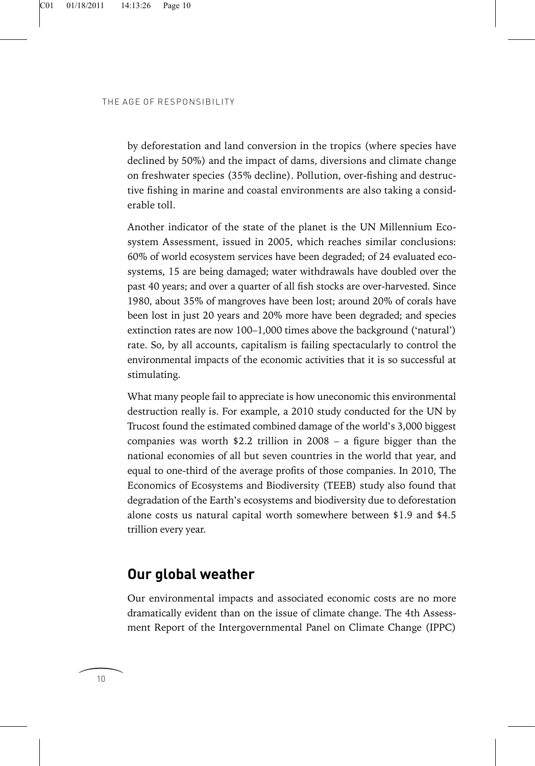by deforestation and land conversion in the tropics (where species have declined by 50%) and the impact of dams, diversions and climate change on freshwater species (35% decline). Pollution, over-fishing and destructive fishing in marine and coastal environments are also taking a considerable toll.

Another indicator of the state of the planet is the UN Millennium Ecosystem Assessment, issued in 2005, which reaches similar conclusions: 60% of world ecosystem services have been degraded; of 24 evaluated ecosystems, 15 are being damaged; water withdrawals have doubled over the past 40 years; and over a quarter of all fish stocks are over-harvested. Since 1980, about 35% of mangroves have been lost; around 20% of corals have been lost in just 20 years and 20% more have been degraded; and species extinction rates are now 100–1,000 times above the background ('natural') rate. So, by all accounts, capitalism is failing spectacularly to control the environmental impacts of the economic activities that it is so successful at stimulating.

What many people fail to appreciate is how uneconomic this environmental destruction really is. For example, a 2010 study conducted for the UN by Trucost found the estimated combined damage of the world's 3,000 biggest companies was worth \$2.2 trillion in 2008 – a figure bigger than the national economies of all but seven countries in the world that year, and equal to one-third of the average profits of those companies. In 2010, The Economics of Ecosystems and Biodiversity (TEEB) study also found that degradation of the Earth's ecosystems and biodiversity due to deforestation alone costs us natural capital worth somewhere between \$1.9 and \$4.5 trillion every year.

### Our global weather

Our environmental impacts and associated economic costs are no more dramatically evident than on the issue of climate change. The 4th Assessment Report of the Intergovernmental Panel on Climate Change (IPPC)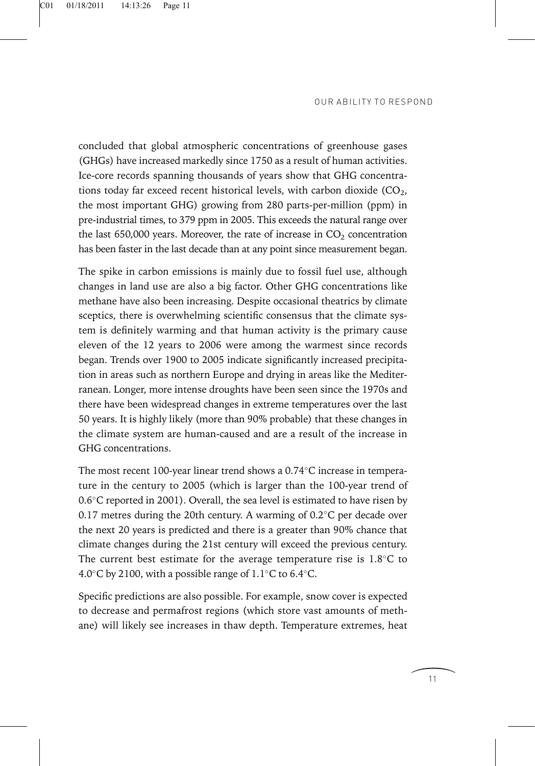concluded that global atmospheric concentrations of greenhouse gases (GHGs) have increased markedly since 1750 as a result of human activities. Ice-core records spanning thousands of years show that GHG concentrations today far exceed recent historical levels, with carbon dioxide  $(CO<sub>2</sub>)$ , the most important GHG) growing from 280 parts-per-million (ppm) in pre-industrial times, to 379 ppm in 2005. This exceeds the natural range over the last  $650,000$  years. Moreover, the rate of increase in  $CO<sub>2</sub>$  concentration has been faster in the last decade than at any point since measurement began.

The spike in carbon emissions is mainly due to fossil fuel use, although changes in land use are also a big factor. Other GHG concentrations like methane have also been increasing. Despite occasional theatrics by climate sceptics, there is overwhelming scientific consensus that the climate system is definitely warming and that human activity is the primary cause eleven of the 12 years to 2006 were among the warmest since records began. Trends over 1900 to 2005 indicate significantly increased precipitation in areas such as northern Europe and drying in areas like the Mediterranean. Longer, more intense droughts have been seen since the 1970s and there have been widespread changes in extreme temperatures over the last 50 years. It is highly likely (more than 90% probable) that these changes in the climate system are human-caused and are a result of the increase in GHG concentrations.

The most recent 100-year linear trend shows a  $0.74^{\circ}$ C increase in temperature in the century to 2005 (which is larger than the 100-year trend of  $0.6^{\circ}$ C reported in 2001). Overall, the sea level is estimated to have risen by 0.17 metres during the 20th century. A warming of  $0.2^{\circ}$ C per decade over the next 20 years is predicted and there is a greater than 90% chance that climate changes during the 21st century will exceed the previous century. The current best estimate for the average temperature rise is  $1.8^{\circ}$ C to 4.0°C by 2100, with a possible range of  $1.1$ °C to 6.4°C.

Specific predictions are also possible. For example, snow cover is expected to decrease and permafrost regions (which store vast amounts of methane) will likely see increases in thaw depth. Temperature extremes, heat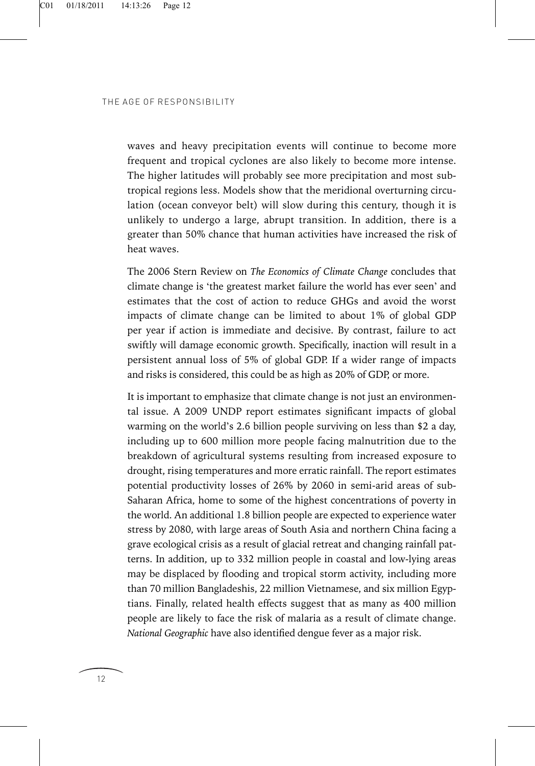waves and heavy precipitation events will continue to become more frequent and tropical cyclones are also likely to become more intense. The higher latitudes will probably see more precipitation and most subtropical regions less. Models show that the meridional overturning circulation (ocean conveyor belt) will slow during this century, though it is unlikely to undergo a large, abrupt transition. In addition, there is a greater than 50% chance that human activities have increased the risk of heat waves.

The 2006 Stern Review on The Economics of Climate Change concludes that climate change is 'the greatest market failure the world has ever seen' and estimates that the cost of action to reduce GHGs and avoid the worst impacts of climate change can be limited to about 1% of global GDP per year if action is immediate and decisive. By contrast, failure to act swiftly will damage economic growth. Specifically, inaction will result in a persistent annual loss of 5% of global GDP. If a wider range of impacts and risks is considered, this could be as high as 20% of GDP, or more.

It is important to emphasize that climate change is not just an environmental issue. A 2009 UNDP report estimates significant impacts of global warming on the world's 2.6 billion people surviving on less than \$2 a day, including up to 600 million more people facing malnutrition due to the breakdown of agricultural systems resulting from increased exposure to drought, rising temperatures and more erratic rainfall. The report estimates potential productivity losses of 26% by 2060 in semi-arid areas of sub-Saharan Africa, home to some of the highest concentrations of poverty in the world. An additional 1.8 billion people are expected to experience water stress by 2080, with large areas of South Asia and northern China facing a grave ecological crisis as a result of glacial retreat and changing rainfall patterns. In addition, up to 332 million people in coastal and low-lying areas may be displaced by flooding and tropical storm activity, including more than 70 million Bangladeshis, 22 million Vietnamese, and six million Egyptians. Finally, related health effects suggest that as many as 400 million people are likely to face the risk of malaria as a result of climate change. National Geographic have also identified dengue fever as a major risk.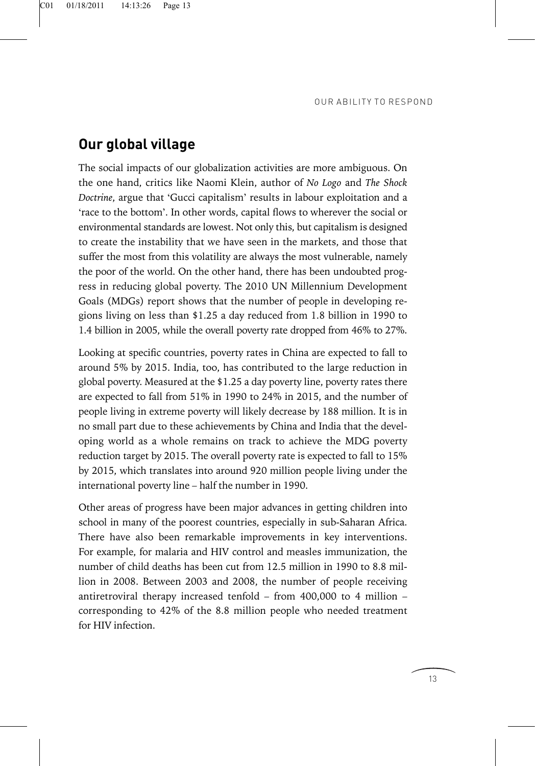# Our global village

The social impacts of our globalization activities are more ambiguous. On the one hand, critics like Naomi Klein, author of No Logo and The Shock Doctrine, argue that 'Gucci capitalism' results in labour exploitation and a 'race to the bottom'. In other words, capital flows to wherever the social or environmental standards are lowest. Not only this, but capitalism is designed to create the instability that we have seen in the markets, and those that suffer the most from this volatility are always the most vulnerable, namely the poor of the world. On the other hand, there has been undoubted progress in reducing global poverty. The 2010 UN Millennium Development Goals (MDGs) report shows that the number of people in developing regions living on less than \$1.25 a day reduced from 1.8 billion in 1990 to 1.4 billion in 2005, while the overall poverty rate dropped from 46% to 27%.

Looking at specific countries, poverty rates in China are expected to fall to around 5% by 2015. India, too, has contributed to the large reduction in global poverty. Measured at the \$1.25 a day poverty line, poverty rates there are expected to fall from 51% in 1990 to 24% in 2015, and the number of people living in extreme poverty will likely decrease by 188 million. It is in no small part due to these achievements by China and India that the developing world as a whole remains on track to achieve the MDG poverty reduction target by 2015. The overall poverty rate is expected to fall to 15% by 2015, which translates into around 920 million people living under the international poverty line – half the number in 1990.

Other areas of progress have been major advances in getting children into school in many of the poorest countries, especially in sub-Saharan Africa. There have also been remarkable improvements in key interventions. For example, for malaria and HIV control and measles immunization, the number of child deaths has been cut from 12.5 million in 1990 to 8.8 million in 2008. Between 2003 and 2008, the number of people receiving antiretroviral therapy increased tenfold – from 400,000 to 4 million – corresponding to 42% of the 8.8 million people who needed treatment for HIV infection.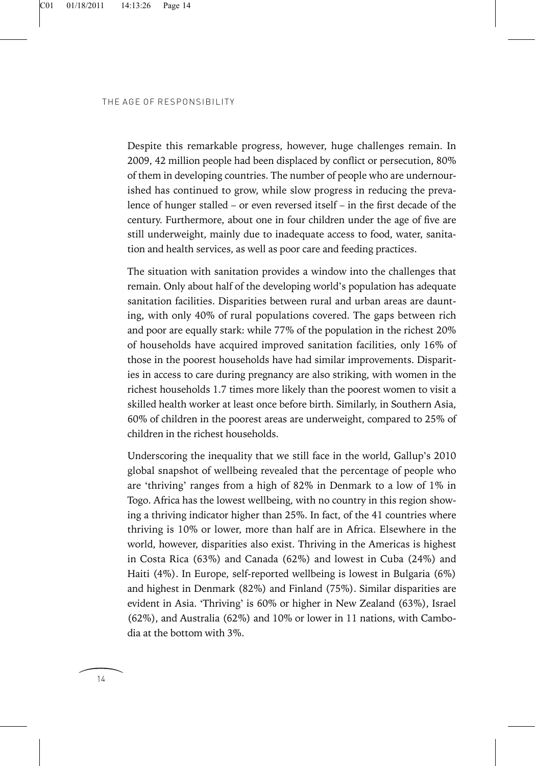Despite this remarkable progress, however, huge challenges remain. In 2009, 42 million people had been displaced by conflict or persecution, 80% of them in developing countries. The number of people who are undernourished has continued to grow, while slow progress in reducing the prevalence of hunger stalled – or even reversed itself – in the first decade of the century. Furthermore, about one in four children under the age of five are still underweight, mainly due to inadequate access to food, water, sanitation and health services, as well as poor care and feeding practices.

The situation with sanitation provides a window into the challenges that remain. Only about half of the developing world's population has adequate sanitation facilities. Disparities between rural and urban areas are daunting, with only 40% of rural populations covered. The gaps between rich and poor are equally stark: while 77% of the population in the richest 20% of households have acquired improved sanitation facilities, only 16% of those in the poorest households have had similar improvements. Disparities in access to care during pregnancy are also striking, with women in the richest households 1.7 times more likely than the poorest women to visit a skilled health worker at least once before birth. Similarly, in Southern Asia, 60% of children in the poorest areas are underweight, compared to 25% of children in the richest households.

Underscoring the inequality that we still face in the world, Gallup's 2010 global snapshot of wellbeing revealed that the percentage of people who are 'thriving' ranges from a high of 82% in Denmark to a low of 1% in Togo. Africa has the lowest wellbeing, with no country in this region showing a thriving indicator higher than 25%. In fact, of the 41 countries where thriving is 10% or lower, more than half are in Africa. Elsewhere in the world, however, disparities also exist. Thriving in the Americas is highest in Costa Rica (63%) and Canada (62%) and lowest in Cuba (24%) and Haiti (4%). In Europe, self-reported wellbeing is lowest in Bulgaria (6%) and highest in Denmark (82%) and Finland (75%). Similar disparities are evident in Asia. 'Thriving' is 60% or higher in New Zealand (63%), Israel (62%), and Australia (62%) and 10% or lower in 11 nations, with Cambodia at the bottom with 3%.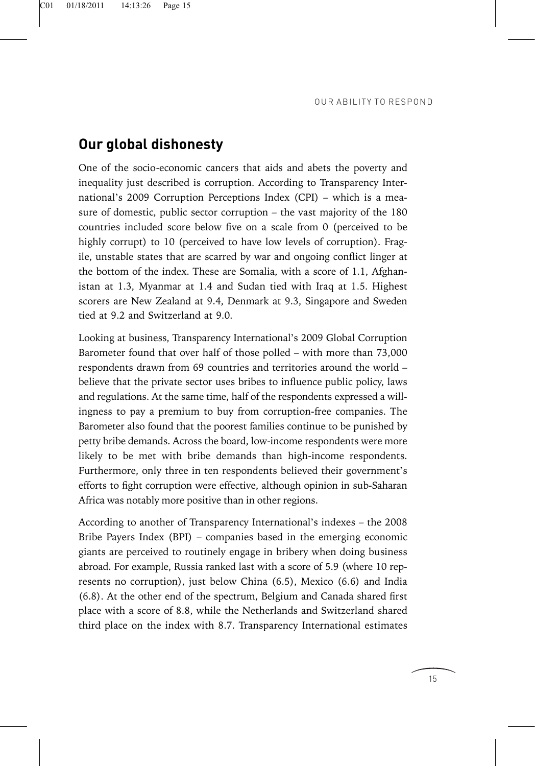# Our global dishonesty

One of the socio-economic cancers that aids and abets the poverty and inequality just described is corruption. According to Transparency International's 2009 Corruption Perceptions Index (CPI) – which is a measure of domestic, public sector corruption – the vast majority of the 180 countries included score below five on a scale from 0 (perceived to be highly corrupt) to 10 (perceived to have low levels of corruption). Fragile, unstable states that are scarred by war and ongoing conflict linger at the bottom of the index. These are Somalia, with a score of 1.1, Afghanistan at 1.3, Myanmar at 1.4 and Sudan tied with Iraq at 1.5. Highest scorers are New Zealand at 9.4, Denmark at 9.3, Singapore and Sweden tied at 9.2 and Switzerland at 9.0.

Looking at business, Transparency International's 2009 Global Corruption Barometer found that over half of those polled – with more than 73,000 respondents drawn from 69 countries and territories around the world – believe that the private sector uses bribes to influence public policy, laws and regulations. At the same time, half of the respondents expressed a willingness to pay a premium to buy from corruption-free companies. The Barometer also found that the poorest families continue to be punished by petty bribe demands. Across the board, low-income respondents were more likely to be met with bribe demands than high-income respondents. Furthermore, only three in ten respondents believed their government's efforts to fight corruption were effective, although opinion in sub-Saharan Africa was notably more positive than in other regions.

According to another of Transparency International's indexes – the 2008 Bribe Payers Index (BPI) – companies based in the emerging economic giants are perceived to routinely engage in bribery when doing business abroad. For example, Russia ranked last with a score of 5.9 (where 10 represents no corruption), just below China (6.5), Mexico (6.6) and India (6.8). At the other end of the spectrum, Belgium and Canada shared first place with a score of 8.8, while the Netherlands and Switzerland shared third place on the index with 8.7. Transparency International estimates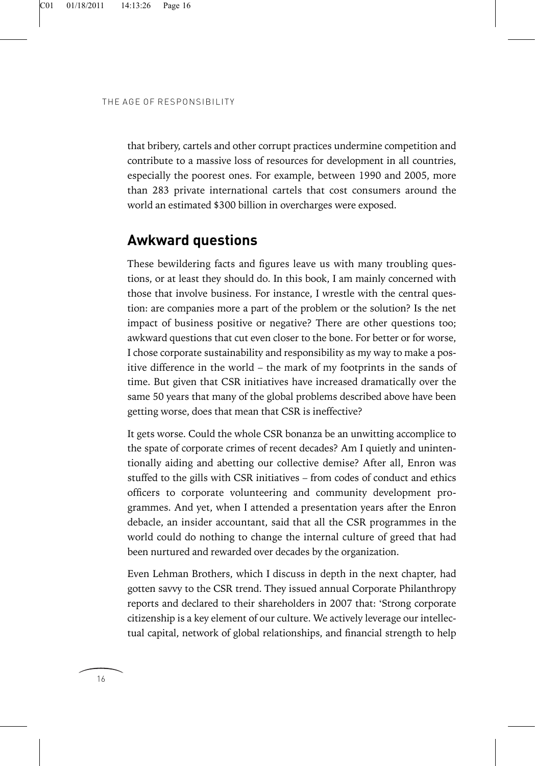that bribery, cartels and other corrupt practices undermine competition and contribute to a massive loss of resources for development in all countries, especially the poorest ones. For example, between 1990 and 2005, more than 283 private international cartels that cost consumers around the world an estimated \$300 billion in overcharges were exposed.

## Awkward questions

These bewildering facts and figures leave us with many troubling questions, or at least they should do. In this book, I am mainly concerned with those that involve business. For instance, I wrestle with the central question: are companies more a part of the problem or the solution? Is the net impact of business positive or negative? There are other questions too; awkward questions that cut even closer to the bone. For better or for worse, I chose corporate sustainability and responsibility as my way to make a positive difference in the world – the mark of my footprints in the sands of time. But given that CSR initiatives have increased dramatically over the same 50 years that many of the global problems described above have been getting worse, does that mean that CSR is ineffective?

It gets worse. Could the whole CSR bonanza be an unwitting accomplice to the spate of corporate crimes of recent decades? Am I quietly and unintentionally aiding and abetting our collective demise? After all, Enron was stuffed to the gills with CSR initiatives – from codes of conduct and ethics officers to corporate volunteering and community development programmes. And yet, when I attended a presentation years after the Enron debacle, an insider accountant, said that all the CSR programmes in the world could do nothing to change the internal culture of greed that had been nurtured and rewarded over decades by the organization.

Even Lehman Brothers, which I discuss in depth in the next chapter, had gotten savvy to the CSR trend. They issued annual Corporate Philanthropy reports and declared to their shareholders in 2007 that: 'Strong corporate citizenship is a key element of our culture. We actively leverage our intellectual capital, network of global relationships, and financial strength to help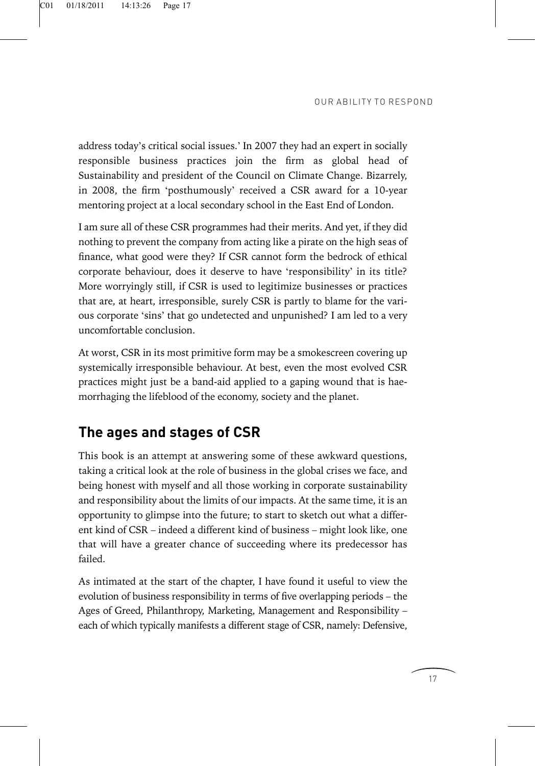address today's critical social issues.' In 2007 they had an expert in socially responsible business practices join the firm as global head of Sustainability and president of the Council on Climate Change. Bizarrely, in 2008, the firm 'posthumously' received a CSR award for a 10-year mentoring project at a local secondary school in the East End of London.

I am sure all of these CSR programmes had their merits. And yet, if they did nothing to prevent the company from acting like a pirate on the high seas of finance, what good were they? If CSR cannot form the bedrock of ethical corporate behaviour, does it deserve to have 'responsibility' in its title? More worryingly still, if CSR is used to legitimize businesses or practices that are, at heart, irresponsible, surely CSR is partly to blame for the various corporate 'sins' that go undetected and unpunished? I am led to a very uncomfortable conclusion.

At worst, CSR in its most primitive form may be a smokescreen covering up systemically irresponsible behaviour. At best, even the most evolved CSR practices might just be a band-aid applied to a gaping wound that is haemorrhaging the lifeblood of the economy, society and the planet.

# The ages and stages of CSR

This book is an attempt at answering some of these awkward questions, taking a critical look at the role of business in the global crises we face, and being honest with myself and all those working in corporate sustainability and responsibility about the limits of our impacts. At the same time, it is an opportunity to glimpse into the future; to start to sketch out what a different kind of CSR – indeed a different kind of business – might look like, one that will have a greater chance of succeeding where its predecessor has failed.

As intimated at the start of the chapter, I have found it useful to view the evolution of business responsibility in terms of five overlapping periods – the Ages of Greed, Philanthropy, Marketing, Management and Responsibility – each of which typically manifests a different stage of CSR, namely: Defensive,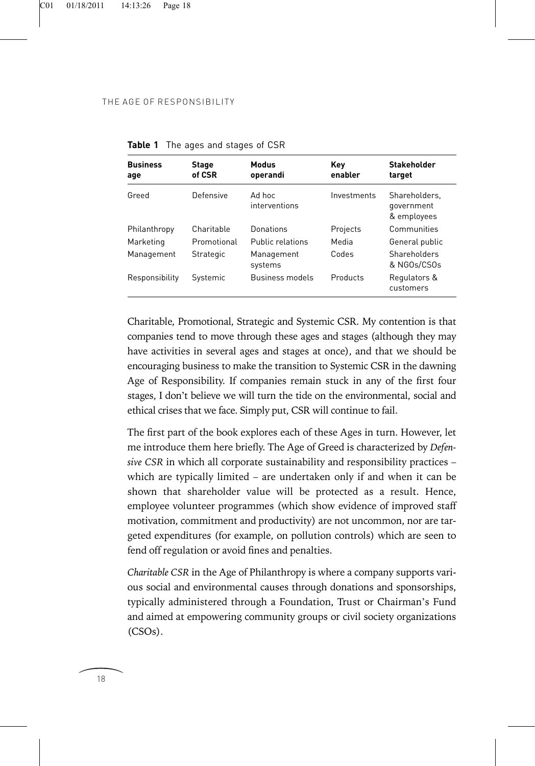| <b>Business</b><br>age | <b>Stage</b><br>of CSR | Modus<br>operandi       | Key<br>enabler | Stakeholder<br>target                      |
|------------------------|------------------------|-------------------------|----------------|--------------------------------------------|
| Greed                  | Defensive              | Ad hoc<br>interventions | Investments    | Shareholders.<br>government<br>& employees |
| Philanthropy           | Charitable             | Donations               | Projects       | Communities                                |
| Marketing              | Promotional            | <b>Public relations</b> | Media          | General public                             |
| Management             | Strategic              | Management<br>systems   | Codes          | Shareholders<br>& NGOs/CSOs                |
| Responsibility         | Systemic               | <b>Business models</b>  | Products       | Regulators &<br>customers                  |

#### Table 1 The ages and stages of CSR

Charitable, Promotional, Strategic and Systemic CSR. My contention is that companies tend to move through these ages and stages (although they may have activities in several ages and stages at once), and that we should be encouraging business to make the transition to Systemic CSR in the dawning Age of Responsibility. If companies remain stuck in any of the first four stages, I don't believe we will turn the tide on the environmental, social and ethical crises that we face. Simply put, CSR will continue to fail.

The first part of the book explores each of these Ages in turn. However, let me introduce them here briefly. The Age of Greed is characterized by Defensive CSR in which all corporate sustainability and responsibility practices – which are typically limited – are undertaken only if and when it can be shown that shareholder value will be protected as a result. Hence, employee volunteer programmes (which show evidence of improved staff motivation, commitment and productivity) are not uncommon, nor are targeted expenditures (for example, on pollution controls) which are seen to fend off regulation or avoid fines and penalties.

Charitable CSR in the Age of Philanthropy is where a company supports various social and environmental causes through donations and sponsorships, typically administered through a Foundation, Trust or Chairman's Fund and aimed at empowering community groups or civil society organizations (CSOs).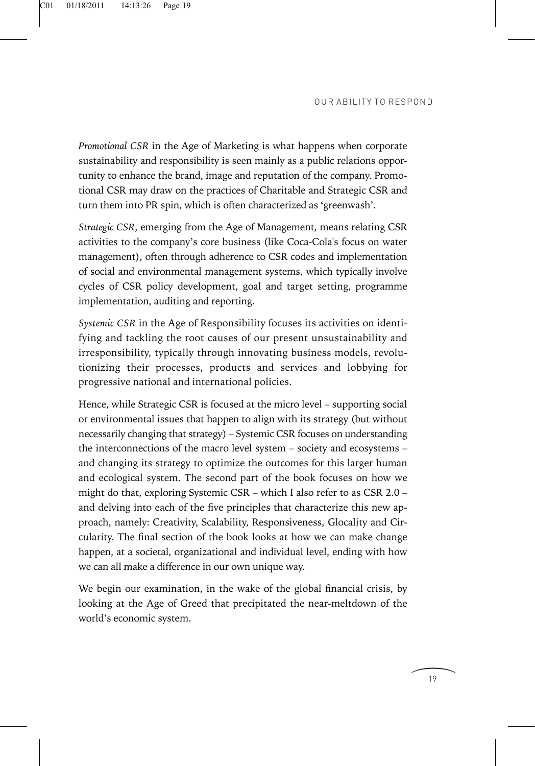Promotional CSR in the Age of Marketing is what happens when corporate sustainability and responsibility is seen mainly as a public relations opportunity to enhance the brand, image and reputation of the company. Promotional CSR may draw on the practices of Charitable and Strategic CSR and turn them into PR spin, which is often characterized as 'greenwash'.

Strategic CSR, emerging from the Age of Management, means relating CSR activities to the company's core business (like Coca-Cola's focus on water management), often through adherence to CSR codes and implementation of social and environmental management systems, which typically involve cycles of CSR policy development, goal and target setting, programme implementation, auditing and reporting.

Systemic CSR in the Age of Responsibility focuses its activities on identifying and tackling the root causes of our present unsustainability and irresponsibility, typically through innovating business models, revolutionizing their processes, products and services and lobbying for progressive national and international policies.

Hence, while Strategic CSR is focused at the micro level – supporting social or environmental issues that happen to align with its strategy (but without necessarily changing that strategy) – Systemic CSR focuses on understanding the interconnections of the macro level system – society and ecosystems – and changing its strategy to optimize the outcomes for this larger human and ecological system. The second part of the book focuses on how we might do that, exploring Systemic CSR – which I also refer to as CSR 2.0 – and delving into each of the five principles that characterize this new approach, namely: Creativity, Scalability, Responsiveness, Glocality and Circularity. The final section of the book looks at how we can make change happen, at a societal, organizational and individual level, ending with how we can all make a difference in our own unique way.

We begin our examination, in the wake of the global financial crisis, by looking at the Age of Greed that precipitated the near-meltdown of the world's economic system.